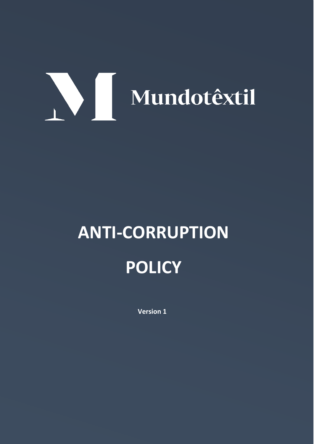# Mundotextil

## **ANTI-CORRUPTION POLICY**

**Version 1**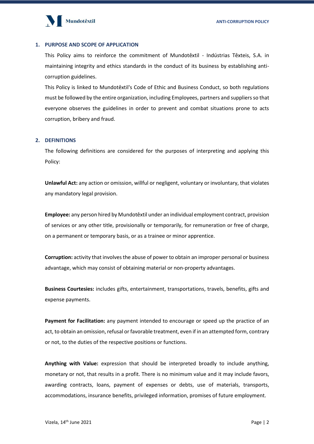

#### **1. PURPOSE AND SCOPE OF APPLICATION**

This Policy aims to reinforce the commitment of Mundotêxtil - Indústrias Têxteis, S.A. in maintaining integrity and ethics standards in the conduct of its business by establishing anticorruption guidelines.

This Policy is linked to Mundotêxtil's Code of Ethic and Business Conduct, so both regulations must be followed by the entire organization, including Employees, partners and suppliers so that everyone observes the guidelines in order to prevent and combat situations prone to acts corruption, bribery and fraud.

#### **2. DEFINITIONS**

The following definitions are considered for the purposes of interpreting and applying this Policy:

**Unlawful Act:** any action or omission, willful or negligent, voluntary or involuntary, that violates any mandatory legal provision.

**Employee:** any person hired by Mundotêxtil under an individual employment contract, provision of services or any other title, provisionally or temporarily, for remuneration or free of charge, on a permanent or temporary basis, or as a trainee or minor apprentice.

**Corruption:** activity that involves the abuse of power to obtain an improper personal or business advantage, which may consist of obtaining material or non-property advantages.

**Business Courtesies:** includes gifts, entertainment, transportations, travels, benefits, gifts and expense payments.

**Payment for Facilitation:** any payment intended to encourage or speed up the practice of an act, to obtain an omission, refusal or favorable treatment, even if in an attempted form, contrary or not, to the duties of the respective positions or functions.

**Anything with Value:** expression that should be interpreted broadly to include anything, monetary or not, that results in a profit. There is no minimum value and it may include favors, awarding contracts, loans, payment of expenses or debts, use of materials, transports, accommodations, insurance benefits, privileged information, promises of future employment.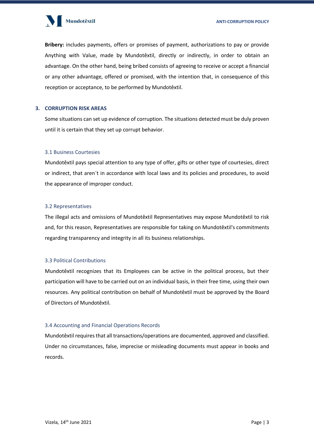

**Bribery:** includes payments, offers or promises of payment, authorizations to pay or provide Anything with Value, made by Mundotêxtil, directly or indirectly, in order to obtain an advantage. On the other hand, being bribed consists of agreeing to receive or accept a financial or any other advantage, offered or promised, with the intention that, in consequence of this reception or acceptance, to be performed by Mundotêxtil.

#### **3. CORRUPTION RISK AREAS**

Some situations can set up evidence of corruption. The situations detected must be duly proven until it is certain that they set up corrupt behavior.

#### 3.1 Business Courtesies

Mundotêxtil pays special attention to any type of offer, gifts or other type of courtesies, direct or indirect, that aren´t in accordance with local laws and its policies and procedures, to avoid the appearance of improper conduct.

#### 3.2 Representatives

The illegal acts and omissions of Mundotêxtil Representatives may expose Mundotêxtil to risk and, for this reason, Representatives are responsible for taking on Mundotêxtil's commitments regarding transparency and integrity in all its business relationships.

#### 3.3 Political Contributions

Mundotêxtil recognizes that its Employees can be active in the political process, but their participation will have to be carried out on an individual basis, in their free time, using their own resources. Any political contribution on behalf of Mundotêxtil must be approved by the Board of Directors of Mundotêxtil.

#### 3.4 Accounting and Financial Operations Records

Mundotêxtil requires that all transactions/operations are documented, approved and classified. Under no circumstances, false, imprecise or misleading documents must appear in books and records.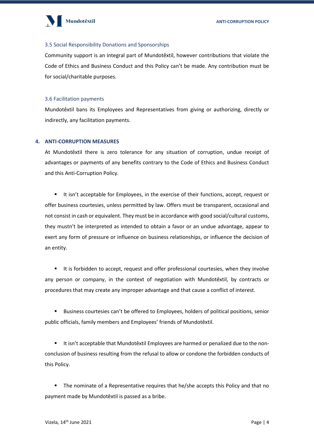

#### 3.5 Social Responsibility Donations and Sponsorships

Community support is an integral part of Mundotêxtil, however contributions that violate the Code of Ethics and Business Conduct and this Policy can't be made. Any contribution must be for social/charitable purposes.

#### 3.6 Facilitation payments

Mundotêxtil bans its Employees and Representatives from giving or authorizing, directly or indirectly, any facilitation payments.

#### **4. ANTI-CORRUPTION MEASURES**

At Mundotêxtil there is zero tolerance for any situation of corruption, undue receipt of advantages or payments of any benefits contrary to the Code of Ethics and Business Conduct and this Anti-Corruption Policy.

It isn't acceptable for Employees, in the exercise of their functions, accept, request or offer business courtesies, unless permitted by law. Offers must be transparent, occasional and not consist in cash or equivalent. They must be in accordance with good social/cultural customs, they mustn't be interpreted as intended to obtain a favor or an undue advantage, appear to exert any form of pressure or influence on business relationships, or influence the decision of an entity.

■ It is forbidden to accept, request and offer professional courtesies, when they involve any person or company, in the context of negotiation with Mundotêxtil, by contracts or procedures that may create any improper advantage and that cause a conflict of interest.

▪ Business courtesies can't be offered to Employees, holders of political positions, senior public officials, family members and Employees' friends of Mundotêxtil.

It isn't acceptable that Mundotêxtil Employees are harmed or penalized due to the nonconclusion of business resulting from the refusal to allow or condone the forbidden conducts of this Policy.

■ The nominate of a Representative requires that he/she accepts this Policy and that no payment made by Mundotêxtil is passed as a bribe.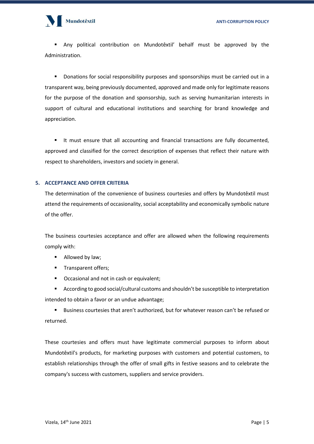### Mundotêxtil

▪ Any political contribution on Mundotêxtil' behalf must be approved by the Administration.

Donations for social responsibility purposes and sponsorships must be carried out in a transparent way, being previously documented, approved and made only for legitimate reasons for the purpose of the donation and sponsorship, such as serving humanitarian interests in support of cultural and educational institutions and searching for brand knowledge and appreciation.

It must ensure that all accounting and financial transactions are fully documented, approved and classified for the correct description of expenses that reflect their nature with respect to shareholders, investors and society in general.

#### **5. ACCEPTANCE AND OFFER CRITERIA**

The determination of the convenience of business courtesies and offers by Mundotêxtil must attend the requirements of occasionality, social acceptability and economically symbolic nature of the offer.

The business courtesies acceptance and offer are allowed when the following requirements comply with:

- Allowed by law:
- **■** Transparent offers;
- Occasional and not in cash or equivalent;

■ According to good social/cultural customs and shouldn't be susceptible to interpretation intended to obtain a favor or an undue advantage;

Business courtesies that aren't authorized, but for whatever reason can't be refused or returned.

These courtesies and offers must have legitimate commercial purposes to inform about Mundotêxtil's products, for marketing purposes with customers and potential customers, to establish relationships through the offer of small gifts in festive seasons and to celebrate the company's success with customers, suppliers and service providers.